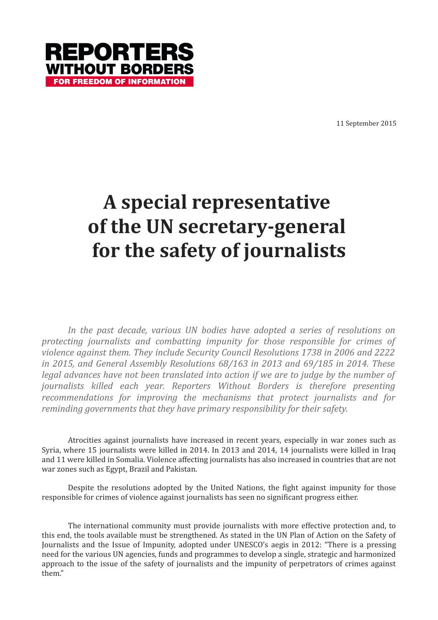

11 September 2015

## **A special representative of the UN secretary-general for the safety of journalists**

*In the past decade, various UN bodies have adopted a series of resolutions on protecting journalists and combatting impunity for those responsible for crimes of violence against them. They include Security Council Resolutions 1738 in 2006 and 2222 in 2015, and General Assembly Resolutions 68/163 in 2013 and 69/185 in 2014. These legal advances have not been translated into action if we are to judge by the number of journalists killed each year. Reporters Without Borders is therefore presenting recommendations for improving the mechanisms that protect journalists and for reminding governments that they have primary responsibility for their safety.*

Atrocities against journalists have increased in recent years, especially in war zones such as Syria, where 15 journalists were killed in 2014. In 2013 and 2014, 14 journalists were killed in Iraq and 11 were killed in Somalia. Violence affecting journalists has also increased in countries that are not war zones such as Egypt, Brazil and Pakistan.

Despite the resolutions adopted by the United Nations, the fight against impunity for those responsible for crimes of violence against journalists has seen no significant progress either.

The international community must provide journalists with more effective protection and, to this end, the tools available must be strengthened. As stated in the UN Plan of Action on the Safety of Journalists and the Issue of Impunity, adopted under UNESCO's aegis in 2012: "There is a pressing need for the various UN agencies, funds and programmes to develop a single, strategic and harmonized approach to the issue of the safety of journalists and the impunity of perpetrators of crimes against them."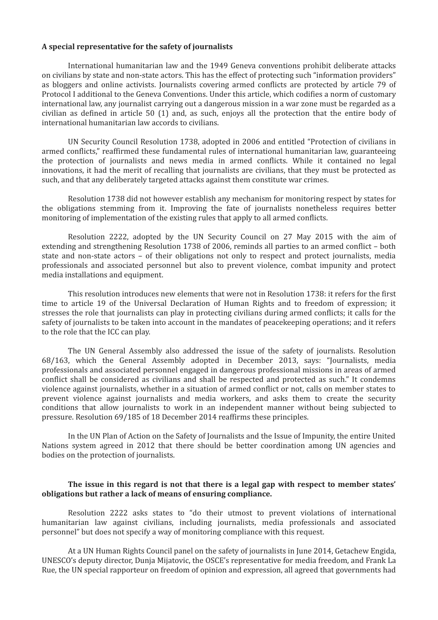## **A special representative for the safety of journalists**

International humanitarian law and the 1949 Geneva conventions prohibit deliberate attacks on civilians by state and non-state actors. This has the effect of protecting such "information providers" as bloggers and online activists. Journalists covering armed conflicts are protected by article 79 of Protocol I additional to the Geneva Conventions. Under this article, which codifies a norm of customary international law, any journalist carrying out a dangerous mission in a war zone must be regarded as a civilian as defined in article 50 (1) and, as such, enjoys all the protection that the entire body of international humanitarian law accords to civilians.

UN Security Council Resolution 1738, adopted in 2006 and entitled "Protection of civilians in armed conflicts," reaffirmed these fundamental rules of international humanitarian law, guaranteeing the protection of journalists and news media in armed conflicts. While it contained no legal innovations, it had the merit of recalling that journalists are civilians, that they must be protected as such, and that any deliberately targeted attacks against them constitute war crimes.

Resolution 1738 did not however establish any mechanism for monitoring respect by states for the obligations stemming from it. Improving the fate of journalists nonetheless requires better monitoring of implementation of the existing rules that apply to all armed conflicts.

Resolution 2222, adopted by the UN Security Council on 27 May 2015 with the aim of extending and strengthening Resolution 1738 of 2006, reminds all parties to an armed conflict – both state and non-state actors – of their obligations not only to respect and protect journalists, media professionals and associated personnel but also to prevent violence, combat impunity and protect media installations and equipment.

This resolution introduces new elements that were not in Resolution 1738: it refers for the first time to article 19 of the Universal Declaration of Human Rights and to freedom of expression; it stresses the role that journalists can play in protecting civilians during armed conflicts; it calls for the safety of journalists to be taken into account in the mandates of peacekeeping operations; and it refers to the role that the ICC can play.

The UN General Assembly also addressed the issue of the safety of journalists. Resolution 68/163, which the General Assembly adopted in December 2013, says: "Journalists, media professionals and associated personnel engaged in dangerous professional missions in areas of armed conflict shall be considered as civilians and shall be respected and protected as such." It condemns violence against journalists, whether in a situation of armed conflict or not, calls on member states to prevent violence against journalists and media workers, and asks them to create the security conditions that allow journalists to work in an independent manner without being subjected to pressure. Resolution 69/185 of 18 December 2014 reaffirms these principles.

In the UN Plan of Action on the Safety of Journalists and the Issue of Impunity, the entire United Nations system agreed in 2012 that there should be better coordination among UN agencies and bodies on the protection of journalists.

## **The issue in this regard is not that there is a legal gap with respect to member states' obligations but rather a lack of means of ensuring compliance.**

Resolution 2222 asks states to "do their utmost to prevent violations of international humanitarian law against civilians, including journalists, media professionals and associated personnel" but does not specify a way of monitoring compliance with this request.

At a UN Human Rights Council panel on the safety of journalists in June 2014, Getachew Engida, UNESCO's deputy director, Dunja Mijatovic, the OSCE's representative for media freedom, and Frank La Rue, the UN special rapporteur on freedom of opinion and expression, all agreed that governments had